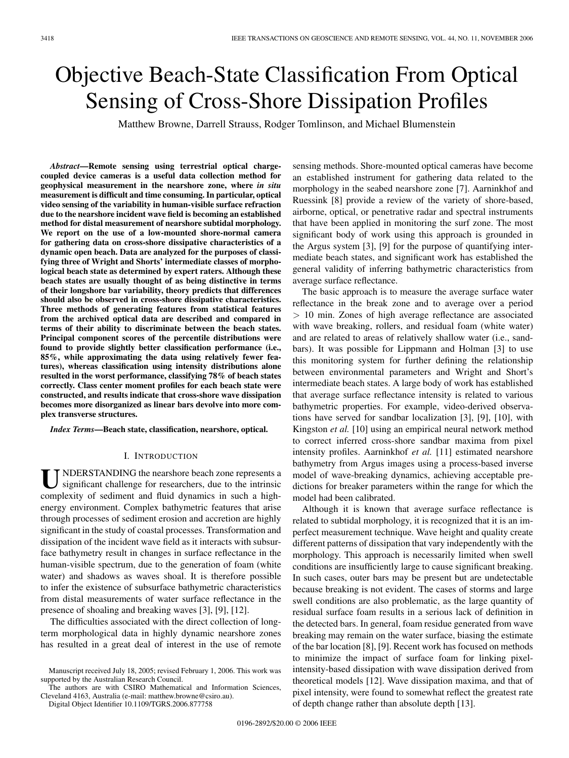# Objective Beach-State Classification From Optical Sensing of Cross-Shore Dissipation Profiles

Matthew Browne, Darrell Strauss, Rodger Tomlinson, and Michael Blumenstein

*Abstract***—Remote sensing using terrestrial optical chargecoupled device cameras is a useful data collection method for geophysical measurement in the nearshore zone, where** *in situ* **measurement is difficult and time consuming. In particular, optical video sensing of the variability in human-visible surface refraction due to the nearshore incident wave field is becoming an established method for distal measurement of nearshore subtidal morphology. We report on the use of a low-mounted shore-normal camera for gathering data on cross-shore dissipative characteristics of a dynamic open beach. Data are analyzed for the purposes of classifying three of Wright and Shorts' intermediate classes of morphological beach state as determined by expert raters. Although these beach states are usually thought of as being distinctive in terms of their longshore bar variability, theory predicts that differences should also be observed in cross-shore dissipative characteristics. Three methods of generating features from statistical features from the archived optical data are described and compared in terms of their ability to discriminate between the beach states. Principal component scores of the percentile distributions were found to provide slightly better classification performance (i.e., 85%, while approximating the data using relatively fewer features), whereas classification using intensity distributions alone resulted in the worst performance, classifying 78% of beach states correctly. Class center moment profiles for each beach state were constructed, and results indicate that cross-shore wave dissipation becomes more disorganized as linear bars devolve into more complex transverse structures.**

*Index Terms***—Beach state, classification, nearshore, optical.**

## I. INTRODUCTION

**U**NDERSTANDING the nearshore beach zone represents a significant challenge for researchers, due to the intrinsic complexity of sediment and fluid dynamics in such a highenergy environment. Complex bathymetric features that arise through processes of sediment erosion and accretion are highly significant in the study of coastal processes. Transformation and dissipation of the incident wave field as it interacts with subsurface bathymetry result in changes in surface reflectance in the human-visible spectrum, due to the generation of foam (white water) and shadows as waves shoal. It is therefore possible to infer the existence of subsurface bathymetric characteristics from distal measurements of water surface reflectance in the presence of shoaling and breaking waves [3], [9], [12].

The difficulties associated with the direct collection of longterm morphological data in highly dynamic nearshore zones has resulted in a great deal of interest in the use of remote sensing methods. Shore-mounted optical cameras have become an established instrument for gathering data related to the morphology in the seabed nearshore zone [7]. Aarninkhof and Ruessink [8] provide a review of the variety of shore-based, airborne, optical, or penetrative radar and spectral instruments that have been applied in monitoring the surf zone. The most significant body of work using this approach is grounded in the Argus system [3], [9] for the purpose of quantifying intermediate beach states, and significant work has established the general validity of inferring bathymetric characteristics from average surface reflectance.

The basic approach is to measure the average surface water reflectance in the break zone and to average over a period *>* 10 min. Zones of high average reflectance are associated with wave breaking, rollers, and residual foam (white water) and are related to areas of relatively shallow water (i.e., sandbars). It was possible for Lippmann and Holman [3] to use this monitoring system for further defining the relationship between environmental parameters and Wright and Short's intermediate beach states. A large body of work has established that average surface reflectance intensity is related to various bathymetric properties. For example, video-derived observations have served for sandbar localization [3], [9], [10], with Kingston *et al.* [10] using an empirical neural network method to correct inferred cross-shore sandbar maxima from pixel intensity profiles. Aarninkhof *et al.* [11] estimated nearshore bathymetry from Argus images using a process-based inverse model of wave-breaking dynamics, achieving acceptable predictions for breaker parameters within the range for which the model had been calibrated.

Although it is known that average surface reflectance is related to subtidal morphology, it is recognized that it is an imperfect measurement technique. Wave height and quality create different patterns of dissipation that vary independently with the morphology. This approach is necessarily limited when swell conditions are insufficiently large to cause significant breaking. In such cases, outer bars may be present but are undetectable because breaking is not evident. The cases of storms and large swell conditions are also problematic, as the large quantity of residual surface foam results in a serious lack of definition in the detected bars. In general, foam residue generated from wave breaking may remain on the water surface, biasing the estimate of the bar location [8], [9]. Recent work has focused on methods to minimize the impact of surface foam for linking pixelintensity-based dissipation with wave dissipation derived from theoretical models [12]. Wave dissipation maxima, and that of pixel intensity, were found to somewhat reflect the greatest rate of depth change rather than absolute depth [13].

Manuscript received July 18, 2005; revised February 1, 2006. This work was supported by the Australian Research Council.

The authors are with CSIRO Mathematical and Information Sciences, Cleveland 4163, Australia (e-mail: matthew.browne@csiro.au).

Digital Object Identifier 10.1109/TGRS.2006.877758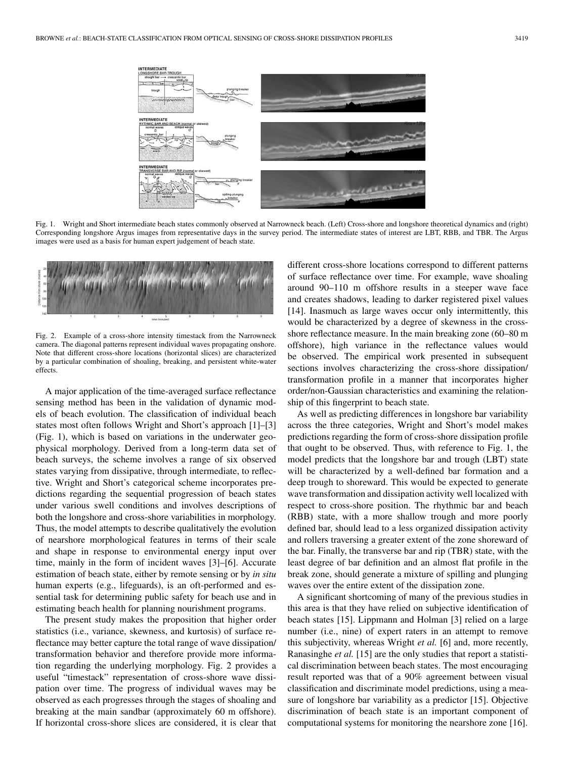

Fig. 1. Wright and Short intermediate beach states commonly observed at Narrowneck beach. (Left) Cross-shore and longshore theoretical dynamics and (right) Corresponding longshore Argus images from representative days in the survey period. The intermediate states of interest are LBT, RBB, and TBR. The Argus images were used as a basis for human expert judgement of beach state.



Fig. 2. Example of a cross-shore intensity timestack from the Narrowneck camera. The diagonal patterns represent individual waves propagating onshore. Note that different cross-shore locations (horizontal slices) are characterized by a particular combination of shoaling, breaking, and persistent white-water effects.

A major application of the time-averaged surface reflectance sensing method has been in the validation of dynamic models of beach evolution. The classification of individual beach states most often follows Wright and Short's approach [1]–[3] (Fig. 1), which is based on variations in the underwater geophysical morphology. Derived from a long-term data set of beach surveys, the scheme involves a range of six observed states varying from dissipative, through intermediate, to reflective. Wright and Short's categorical scheme incorporates predictions regarding the sequential progression of beach states under various swell conditions and involves descriptions of both the longshore and cross-shore variabilities in morphology. Thus, the model attempts to describe qualitatively the evolution of nearshore morphological features in terms of their scale and shape in response to environmental energy input over time, mainly in the form of incident waves [3]–[6]. Accurate estimation of beach state, either by remote sensing or by *in situ* human experts (e.g., lifeguards), is an oft-performed and essential task for determining public safety for beach use and in estimating beach health for planning nourishment programs.

The present study makes the proposition that higher order statistics (i.e., variance, skewness, and kurtosis) of surface reflectance may better capture the total range of wave dissipation/ transformation behavior and therefore provide more information regarding the underlying morphology. Fig. 2 provides a useful "timestack" representation of cross-shore wave dissipation over time. The progress of individual waves may be observed as each progresses through the stages of shoaling and breaking at the main sandbar (approximately 60 m offshore). If horizontal cross-shore slices are considered, it is clear that different cross-shore locations correspond to different patterns of surface reflectance over time. For example, wave shoaling around 90–110 m offshore results in a steeper wave face and creates shadows, leading to darker registered pixel values [14]. Inasmuch as large waves occur only intermittently, this would be characterized by a degree of skewness in the crossshore reflectance measure. In the main breaking zone (60–80 m offshore), high variance in the reflectance values would be observed. The empirical work presented in subsequent sections involves characterizing the cross-shore dissipation/ transformation profile in a manner that incorporates higher order/non-Gaussian characteristics and examining the relationship of this fingerprint to beach state.

As well as predicting differences in longshore bar variability across the three categories, Wright and Short's model makes predictions regarding the form of cross-shore dissipation profile that ought to be observed. Thus, with reference to Fig. 1, the model predicts that the longshore bar and trough (LBT) state will be characterized by a well-defined bar formation and a deep trough to shoreward. This would be expected to generate wave transformation and dissipation activity well localized with respect to cross-shore position. The rhythmic bar and beach (RBB) state, with a more shallow trough and more poorly defined bar, should lead to a less organized dissipation activity and rollers traversing a greater extent of the zone shoreward of the bar. Finally, the transverse bar and rip (TBR) state, with the least degree of bar definition and an almost flat profile in the break zone, should generate a mixture of spilling and plunging waves over the entire extent of the dissipation zone.

A significant shortcoming of many of the previous studies in this area is that they have relied on subjective identification of beach states [15]. Lippmann and Holman [3] relied on a large number (i.e., nine) of expert raters in an attempt to remove this subjectivity, whereas Wright *et al.* [6] and, more recently, Ranasinghe *et al.* [15] are the only studies that report a statistical discrimination between beach states. The most encouraging result reported was that of a 90% agreement between visual classification and discriminate model predictions, using a measure of longshore bar variability as a predictor [15]. Objective discrimination of beach state is an important component of computational systems for monitoring the nearshore zone [16].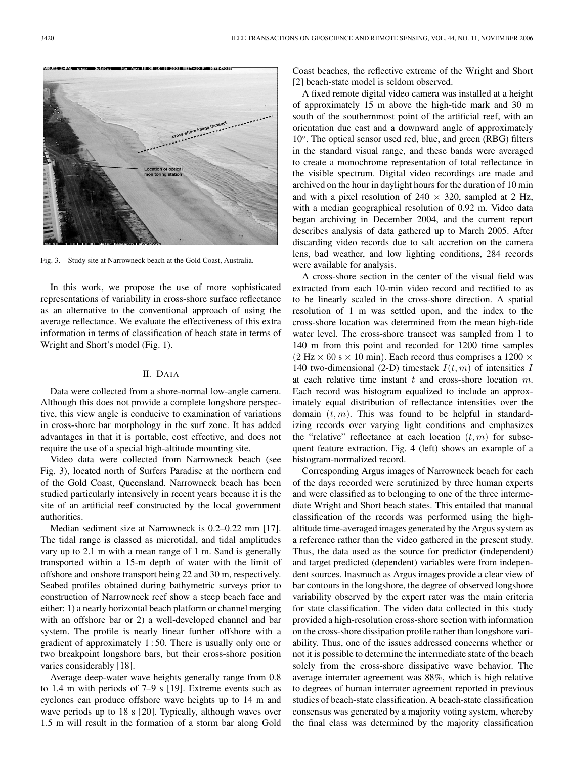Fig. 3. Study site at Narrowneck beach at the Gold Coast, Australia.

In this work, we propose the use of more sophisticated representations of variability in cross-shore surface reflectance as an alternative to the conventional approach of using the average reflectance. We evaluate the effectiveness of this extra information in terms of classification of beach state in terms of Wright and Short's model (Fig. 1).

# II. DATA

Data were collected from a shore-normal low-angle camera. Although this does not provide a complete longshore perspective, this view angle is conducive to examination of variations in cross-shore bar morphology in the surf zone. It has added advantages in that it is portable, cost effective, and does not require the use of a special high-altitude mounting site.

Video data were collected from Narrowneck beach (see Fig. 3), located north of Surfers Paradise at the northern end of the Gold Coast, Queensland. Narrowneck beach has been studied particularly intensively in recent years because it is the site of an artificial reef constructed by the local government authorities.

Median sediment size at Narrowneck is 0.2–0.22 mm [17]. The tidal range is classed as microtidal, and tidal amplitudes vary up to 2.1 m with a mean range of 1 m. Sand is generally transported within a 15-m depth of water with the limit of offshore and onshore transport being 22 and 30 m, respectively. Seabed profiles obtained during bathymetric surveys prior to construction of Narrowneck reef show a steep beach face and either: 1) a nearly horizontal beach platform or channel merging with an offshore bar or 2) a well-developed channel and bar system. The profile is nearly linear further offshore with a gradient of approximately 1 : 50. There is usually only one or two breakpoint longshore bars, but their cross-shore position varies considerably [18].

Average deep-water wave heights generally range from 0.8 to 1.4 m with periods of 7–9 s [19]. Extreme events such as cyclones can produce offshore wave heights up to 14 m and wave periods up to 18 s [20]. Typically, although waves over 1.5 m will result in the formation of a storm bar along Gold Coast beaches, the reflective extreme of the Wright and Short [2] beach-state model is seldom observed.

A fixed remote digital video camera was installed at a height of approximately 15 m above the high-tide mark and 30 m south of the southernmost point of the artificial reef, with an orientation due east and a downward angle of approximately 10◦. The optical sensor used red, blue, and green (RBG) filters in the standard visual range, and these bands were averaged to create a monochrome representation of total reflectance in the visible spectrum. Digital video recordings are made and archived on the hour in daylight hours for the duration of 10 min and with a pixel resolution of  $240 \times 320$ , sampled at 2 Hz, with a median geographical resolution of 0.92 m. Video data began archiving in December 2004, and the current report describes analysis of data gathered up to March 2005. After discarding video records due to salt accretion on the camera lens, bad weather, and low lighting conditions, 284 records were available for analysis.

A cross-shore section in the center of the visual field was extracted from each 10-min video record and rectified to as to be linearly scaled in the cross-shore direction. A spatial resolution of 1 m was settled upon, and the index to the cross-shore location was determined from the mean high-tide water level. The cross-shore transect was sampled from 1 to 140 m from this point and recorded for 1200 time samples  $(2 \text{ Hz} \times 60 \text{ s} \times 10 \text{ min})$ . Each record thus comprises a 1200  $\times$ 140 two-dimensional (2-D) timestack *I*(*t, m*) of intensities *I* at each relative time instant *t* and cross-shore location *m*. Each record was histogram equalized to include an approximately equal distribution of reflectance intensities over the domain (*t, m*). This was found to be helpful in standardizing records over varying light conditions and emphasizes the "relative" reflectance at each location  $(t, m)$  for subsequent feature extraction. Fig. 4 (left) shows an example of a histogram-normalized record.

Corresponding Argus images of Narrowneck beach for each of the days recorded were scrutinized by three human experts and were classified as to belonging to one of the three intermediate Wright and Short beach states. This entailed that manual classification of the records was performed using the highaltitude time-averaged images generated by the Argus system as a reference rather than the video gathered in the present study. Thus, the data used as the source for predictor (independent) and target predicted (dependent) variables were from independent sources. Inasmuch as Argus images provide a clear view of bar contours in the longshore, the degree of observed longshore variability observed by the expert rater was the main criteria for state classification. The video data collected in this study provided a high-resolution cross-shore section with information on the cross-shore dissipation profile rather than longshore variability. Thus, one of the issues addressed concerns whether or not it is possible to determine the intermediate state of the beach solely from the cross-shore dissipative wave behavior. The average interrater agreement was 88%, which is high relative to degrees of human interrater agreement reported in previous studies of beach-state classification. A beach-state classification consensus was generated by a majority voting system, whereby the final class was determined by the majority classification

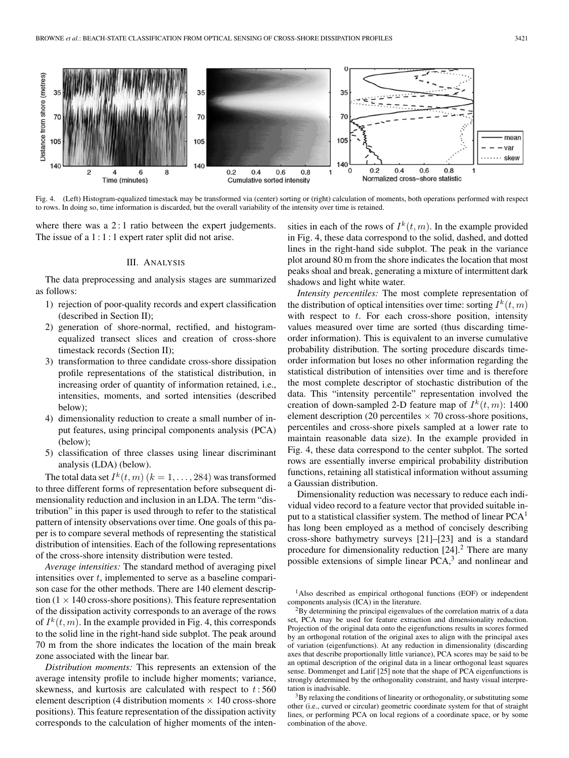

Fig. 4. (Left) Histogram-equalized timestack may be transformed via (center) sorting or (right) calculation of moments, both operations performed with respect to rows. In doing so, time information is discarded, but the overall variability of the intensity over time is retained.

where there was a 2 : 1 ratio between the expert judgements. The issue of a 1 : 1 : 1 expert rater split did not arise.

# III. ANALYSIS

The data preprocessing and analysis stages are summarized as follows:

- 1) rejection of poor-quality records and expert classification (described in Section II);
- 2) generation of shore-normal, rectified, and histogramequalized transect slices and creation of cross-shore timestack records (Section II);
- 3) transformation to three candidate cross-shore dissipation profile representations of the statistical distribution, in increasing order of quantity of information retained, i.e., intensities, moments, and sorted intensities (described below);
- 4) dimensionality reduction to create a small number of input features, using principal components analysis (PCA) (below);
- 5) classification of three classes using linear discriminant analysis (LDA) (below).

The total data set  $I^k(t, m)$  ( $k = 1, \ldots, 284$ ) was transformed to three different forms of representation before subsequent dimensionality reduction and inclusion in an LDA. The term "distribution" in this paper is used through to refer to the statistical pattern of intensity observations over time. One goals of this paper is to compare several methods of representing the statistical distribution of intensities. Each of the following representations of the cross-shore intensity distribution were tested.

*Average intensities:* The standard method of averaging pixel intensities over *t*, implemented to serve as a baseline comparison case for the other methods. There are 140 element description ( $1 \times 140$  cross-shore positions). This feature representation of the dissipation activity corresponds to an average of the rows of  $I^k(t, m)$ . In the example provided in Fig. 4, this corresponds to the solid line in the right-hand side subplot. The peak around 70 m from the shore indicates the location of the main break zone associated with the linear bar.

*Distribution moments:* This represents an extension of the average intensity profile to include higher moments; variance, skewness, and kurtosis are calculated with respect to *t*: 560 element description (4 distribution moments  $\times$  140 cross-shore positions). This feature representation of the dissipation activity corresponds to the calculation of higher moments of the inten-

sities in each of the rows of  $I^k(t, m)$ . In the example provided in Fig. 4, these data correspond to the solid, dashed, and dotted lines in the right-hand side subplot. The peak in the variance plot around 80 m from the shore indicates the location that most peaks shoal and break, generating a mixture of intermittent dark shadows and light white water.

*Intensity percentiles:* The most complete representation of the distribution of optical intensities over time: sorting  $I^k(t, m)$ with respect to *t*. For each cross-shore position, intensity values measured over time are sorted (thus discarding timeorder information). This is equivalent to an inverse cumulative probability distribution. The sorting procedure discards timeorder information but loses no other information regarding the statistical distribution of intensities over time and is therefore the most complete descriptor of stochastic distribution of the data. This "intensity percentile" representation involved the creation of down-sampled 2-D feature map of  $I^k(t, m)$ : 1400 element description (20 percentiles  $\times$  70 cross-shore positions, percentiles and cross-shore pixels sampled at a lower rate to maintain reasonable data size). In the example provided in Fig. 4, these data correspond to the center subplot. The sorted rows are essentially inverse empirical probability distribution functions, retaining all statistical information without assuming a Gaussian distribution.

Dimensionality reduction was necessary to reduce each individual video record to a feature vector that provided suitable input to a statistical classifier system. The method of linear  $PCA<sup>1</sup>$ has long been employed as a method of concisely describing cross-shore bathymetry surveys [21]–[23] and is a standard procedure for dimensionality reduction  $[24]$ .<sup>2</sup> There are many possible extensions of simple linear PCA,<sup>3</sup> and nonlinear and

<sup>1</sup>Also described as empirical orthogonal functions (EOF) or independent components analysis (ICA) in the literature.

 ${}^{2}$ By determining the principal eigenvalues of the correlation matrix of a data set, PCA may be used for feature extraction and dimensionality reduction. Projection of the original data onto the eigenfunctions results in scores formed by an orthogonal rotation of the original axes to align with the principal axes of variation (eigenfunctions). At any reduction in dimensionality (discarding axes that describe proportionally little variance), PCA scores may be said to be an optimal description of the original data in a linear orthogonal least squares sense. Dommenget and Latif [25] note that the shape of PCA eigenfunctions is strongly determined by the orthogonality constraint, and hasty visual interpretation is inadvisable.

<sup>3</sup>By relaxing the conditions of linearity or orthogonality, or substituting some other (i.e., curved or circular) geometric coordinate system for that of straight lines, or performing PCA on local regions of a coordinate space, or by some combination of the above.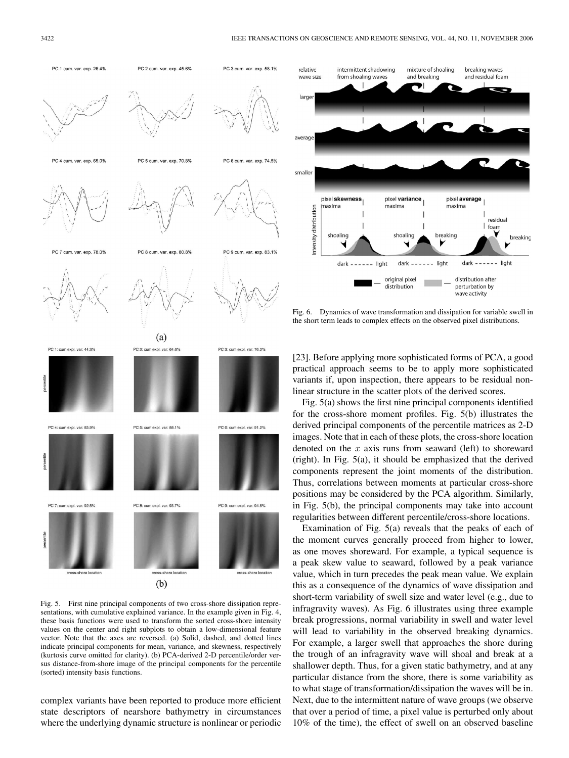

Fig. 5. First nine principal components of two cross-shore dissipation representations, with cumulative explained variance. In the example given in Fig. 4, these basis functions were used to transform the sorted cross-shore intensity values on the center and right subplots to obtain a low-dimensional feature vector. Note that the axes are reversed. (a) Solid, dashed, and dotted lines indicate principal components for mean, variance, and skewness, respectively (kurtosis curve omitted for clarity). (b) PCA-derived 2-D percentile/order versus distance-from-shore image of the principal components for the percentile (sorted) intensity basis functions.

complex variants have been reported to produce more efficient state descriptors of nearshore bathymetry in circumstances where the underlying dynamic structure is nonlinear or periodic



Fig. 6. Dynamics of wave transformation and dissipation for variable swell in the short term leads to complex effects on the observed pixel distributions.

[23]. Before applying more sophisticated forms of PCA, a good practical approach seems to be to apply more sophisticated variants if, upon inspection, there appears to be residual nonlinear structure in the scatter plots of the derived scores.

Fig. 5(a) shows the first nine principal components identified for the cross-shore moment profiles. Fig. 5(b) illustrates the derived principal components of the percentile matrices as 2-D images. Note that in each of these plots, the cross-shore location denoted on the *x* axis runs from seaward (left) to shoreward (right). In Fig. 5(a), it should be emphasized that the derived components represent the joint moments of the distribution. Thus, correlations between moments at particular cross-shore positions may be considered by the PCA algorithm. Similarly, in Fig. 5(b), the principal components may take into account regularities between different percentile/cross-shore locations.

Examination of Fig. 5(a) reveals that the peaks of each of the moment curves generally proceed from higher to lower, as one moves shoreward. For example, a typical sequence is a peak skew value to seaward, followed by a peak variance value, which in turn precedes the peak mean value. We explain this as a consequence of the dynamics of wave dissipation and short-term variability of swell size and water level (e.g., due to infragravity waves). As Fig. 6 illustrates using three example break progressions, normal variability in swell and water level will lead to variability in the observed breaking dynamics. For example, a larger swell that approaches the shore during the trough of an infragravity wave will shoal and break at a shallower depth. Thus, for a given static bathymetry, and at any particular distance from the shore, there is some variability as to what stage of transformation/dissipation the waves will be in. Next, due to the intermittent nature of wave groups (we observe that over a period of time, a pixel value is perturbed only about 10% of the time), the effect of swell on an observed baseline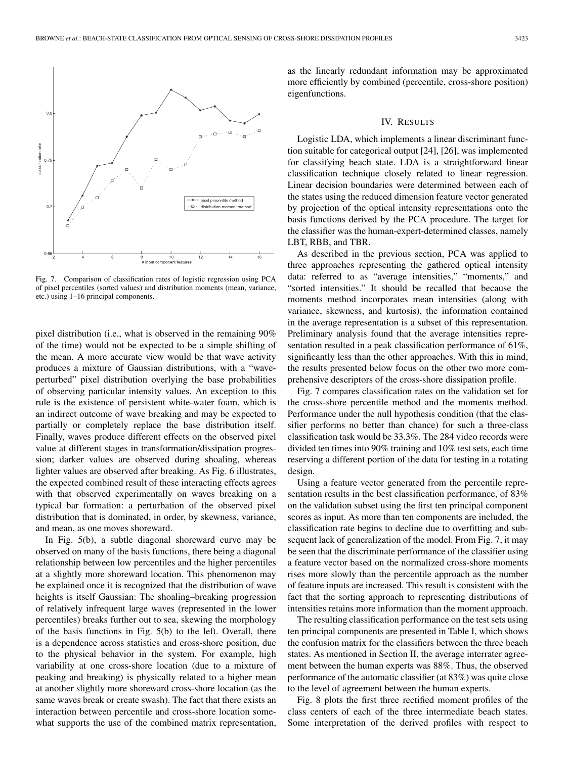

Fig. 7. Comparison of classification rates of logistic regression using PCA of pixel percentiles (sorted values) and distribution moments (mean, variance, etc.) using 1–16 principal components.

pixel distribution (i.e., what is observed in the remaining 90% of the time) would not be expected to be a simple shifting of the mean. A more accurate view would be that wave activity produces a mixture of Gaussian distributions, with a "waveperturbed" pixel distribution overlying the base probabilities of observing particular intensity values. An exception to this rule is the existence of persistent white-water foam, which is an indirect outcome of wave breaking and may be expected to partially or completely replace the base distribution itself. Finally, waves produce different effects on the observed pixel value at different stages in transformation/dissipation progression; darker values are observed during shoaling, whereas lighter values are observed after breaking. As Fig. 6 illustrates, the expected combined result of these interacting effects agrees with that observed experimentally on waves breaking on a typical bar formation: a perturbation of the observed pixel distribution that is dominated, in order, by skewness, variance, and mean, as one moves shoreward.

In Fig. 5(b), a subtle diagonal shoreward curve may be observed on many of the basis functions, there being a diagonal relationship between low percentiles and the higher percentiles at a slightly more shoreward location. This phenomenon may be explained once it is recognized that the distribution of wave heights is itself Gaussian: The shoaling–breaking progression of relatively infrequent large waves (represented in the lower percentiles) breaks further out to sea, skewing the morphology of the basis functions in Fig. 5(b) to the left. Overall, there is a dependence across statistics and cross-shore position, due to the physical behavior in the system. For example, high variability at one cross-shore location (due to a mixture of peaking and breaking) is physically related to a higher mean at another slightly more shoreward cross-shore location (as the same waves break or create swash). The fact that there exists an interaction between percentile and cross-shore location somewhat supports the use of the combined matrix representation, as the linearly redundant information may be approximated more efficiently by combined (percentile, cross-shore position) eigenfunctions.

#### IV. RESULTS

Logistic LDA, which implements a linear discriminant function suitable for categorical output [24], [26], was implemented for classifying beach state. LDA is a straightforward linear classification technique closely related to linear regression. Linear decision boundaries were determined between each of the states using the reduced dimension feature vector generated by projection of the optical intensity representations onto the basis functions derived by the PCA procedure. The target for the classifier was the human-expert-determined classes, namely LBT, RBB, and TBR.

As described in the previous section, PCA was applied to three approaches representing the gathered optical intensity data: referred to as "average intensities," "moments," and "sorted intensities." It should be recalled that because the moments method incorporates mean intensities (along with variance, skewness, and kurtosis), the information contained in the average representation is a subset of this representation. Preliminary analysis found that the average intensities representation resulted in a peak classification performance of 61%, significantly less than the other approaches. With this in mind, the results presented below focus on the other two more comprehensive descriptors of the cross-shore dissipation profile.

Fig. 7 compares classification rates on the validation set for the cross-shore percentile method and the moments method. Performance under the null hypothesis condition (that the classifier performs no better than chance) for such a three-class classification task would be 33.3%. The 284 video records were divided ten times into 90% training and 10% test sets, each time reserving a different portion of the data for testing in a rotating design.

Using a feature vector generated from the percentile representation results in the best classification performance, of 83% on the validation subset using the first ten principal component scores as input. As more than ten components are included, the classification rate begins to decline due to overfitting and subsequent lack of generalization of the model. From Fig. 7, it may be seen that the discriminate performance of the classifier using a feature vector based on the normalized cross-shore moments rises more slowly than the percentile approach as the number of feature inputs are increased. This result is consistent with the fact that the sorting approach to representing distributions of intensities retains more information than the moment approach.

The resulting classification performance on the test sets using ten principal components are presented in Table I, which shows the confusion matrix for the classifiers between the three beach states. As mentioned in Section II, the average interrater agreement between the human experts was 88%. Thus, the observed performance of the automatic classifier (at 83%) was quite close to the level of agreement between the human experts.

Fig. 8 plots the first three rectified moment profiles of the class centers of each of the three intermediate beach states. Some interpretation of the derived profiles with respect to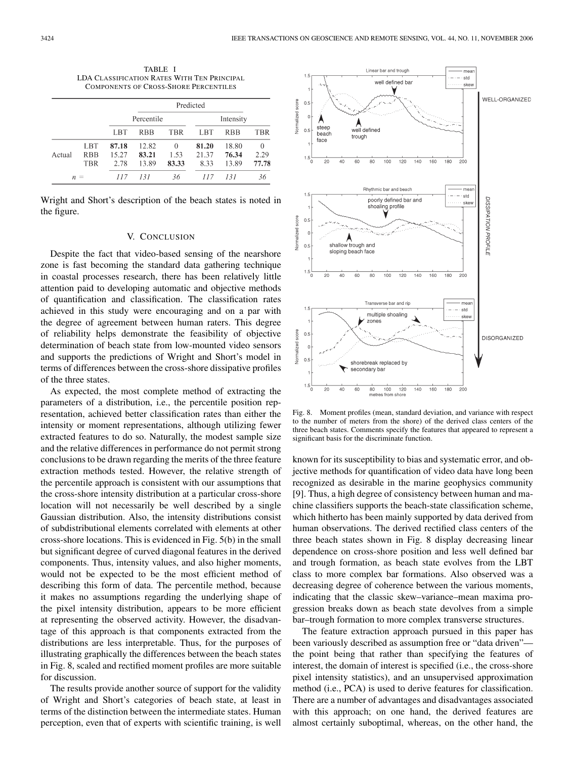TABLE I

LDA CLASSIFICATION RATES WITH TEN PRINCIPAL COMPONENTS OF CROSS-SHORE PERCENTILES

|        |                                 | Predicted              |                         |                    |                        |                         |                    |
|--------|---------------------------------|------------------------|-------------------------|--------------------|------------------------|-------------------------|--------------------|
|        |                                 | Percentile             |                         |                    | Intensity              |                         |                    |
|        |                                 | LBT                    | <b>RBB</b>              | TBR                | LBT                    | <b>RBB</b>              | TBR                |
| Actual | LBT<br><b>RBB</b><br><b>TBR</b> | 87.18<br>15.27<br>2.78 | 12.82<br>83.21<br>13.89 | 0<br>1.53<br>83.33 | 81.20<br>21.37<br>8.33 | 18.80<br>76.34<br>13.89 | 0<br>2.29<br>77.78 |
| $n =$  |                                 | 117                    | 131                     | 36                 | 117                    | 131                     | 36                 |

Wright and Short's description of the beach states is noted in the figure.

### V. CONCLUSION

Despite the fact that video-based sensing of the nearshore zone is fast becoming the standard data gathering technique in coastal processes research, there has been relatively little attention paid to developing automatic and objective methods of quantification and classification. The classification rates achieved in this study were encouraging and on a par with the degree of agreement between human raters. This degree of reliability helps demonstrate the feasibility of objective determination of beach state from low-mounted video sensors and supports the predictions of Wright and Short's model in terms of differences between the cross-shore dissipative profiles of the three states.

As expected, the most complete method of extracting the parameters of a distribution, i.e., the percentile position representation, achieved better classification rates than either the intensity or moment representations, although utilizing fewer extracted features to do so. Naturally, the modest sample size and the relative differences in performance do not permit strong conclusions to be drawn regarding the merits of the three feature extraction methods tested. However, the relative strength of the percentile approach is consistent with our assumptions that the cross-shore intensity distribution at a particular cross-shore location will not necessarily be well described by a single Gaussian distribution. Also, the intensity distributions consist of subdistributional elements correlated with elements at other cross-shore locations. This is evidenced in Fig. 5(b) in the small but significant degree of curved diagonal features in the derived components. Thus, intensity values, and also higher moments, would not be expected to be the most efficient method of describing this form of data. The percentile method, because it makes no assumptions regarding the underlying shape of the pixel intensity distribution, appears to be more efficient at representing the observed activity. However, the disadvantage of this approach is that components extracted from the distributions are less interpretable. Thus, for the purposes of illustrating graphically the differences between the beach states in Fig. 8, scaled and rectified moment profiles are more suitable for discussion.

The results provide another source of support for the validity of Wright and Short's categories of beach state, at least in terms of the distinction between the intermediate states. Human perception, even that of experts with scientific training, is well



Fig. 8. Moment profiles (mean, standard deviation, and variance with respect to the number of meters from the shore) of the derived class centers of the three beach states. Comments specify the features that appeared to represent a significant basis for the discriminate function.

known for its susceptibility to bias and systematic error, and objective methods for quantification of video data have long been recognized as desirable in the marine geophysics community [9]. Thus, a high degree of consistency between human and machine classifiers supports the beach-state classification scheme, which hitherto has been mainly supported by data derived from human observations. The derived rectified class centers of the three beach states shown in Fig. 8 display decreasing linear dependence on cross-shore position and less well defined bar and trough formation, as beach state evolves from the LBT class to more complex bar formations. Also observed was a decreasing degree of coherence between the various moments, indicating that the classic skew–variance–mean maxima progression breaks down as beach state devolves from a simple bar–trough formation to more complex transverse structures.

The feature extraction approach pursued in this paper has been variously described as assumption free or "data driven" the point being that rather than specifying the features of interest, the domain of interest is specified (i.e., the cross-shore pixel intensity statistics), and an unsupervised approximation method (i.e., PCA) is used to derive features for classification. There are a number of advantages and disadvantages associated with this approach; on one hand, the derived features are almost certainly suboptimal, whereas, on the other hand, the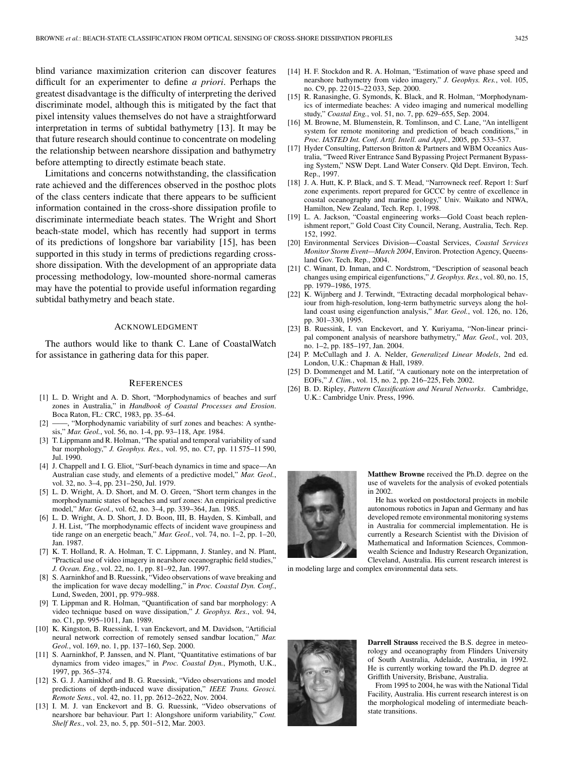blind variance maximization criterion can discover features difficult for an experimenter to define *a priori*. Perhaps the greatest disadvantage is the difficulty of interpreting the derived discriminate model, although this is mitigated by the fact that pixel intensity values themselves do not have a straightforward interpretation in terms of subtidal bathymetry [13]. It may be that future research should continue to concentrate on modeling the relationship between nearshore dissipation and bathymetry before attempting to directly estimate beach state.

Limitations and concerns notwithstanding, the classification rate achieved and the differences observed in the posthoc plots of the class centers indicate that there appears to be sufficient information contained in the cross-shore dissipation profile to discriminate intermediate beach states. The Wright and Short beach-state model, which has recently had support in terms of its predictions of longshore bar variability [15], has been supported in this study in terms of predictions regarding crossshore dissipation. With the development of an appropriate data processing methodology, low-mounted shore-normal cameras may have the potential to provide useful information regarding subtidal bathymetry and beach state.

## ACKNOWLEDGMENT

The authors would like to thank C. Lane of CoastalWatch for assistance in gathering data for this paper.

#### **REFERENCES**

- [1] L. D. Wright and A. D. Short, "Morphodynamics of beaches and surf zones in Australia," in *Handbook of Coastal Processes and Erosion*. Boca Raton, FL: CRC, 1983, pp. 35–64.
- [2] ——, "Morphodynamic variability of surf zones and beaches: A synthesis," *Mar. Geol.*, vol. 56, no. 1-4, pp. 93–118, Apr. 1984.
- [3] T. Lippmann and R. Holman, "The spatial and temporal variability of sand bar morphology," *J. Geophys. Res.*, vol. 95, no. C7, pp. 11 575–11 590, Jul. 1990.
- [4] J. Chappell and I. G. Eliot, "Surf-beach dynamics in time and space—An Australian case study, and elements of a predictive model," *Mar. Geol.*, vol. 32, no. 3–4, pp. 231–250, Jul. 1979.
- [5] L. D. Wright, A. D. Short, and M. O. Green, "Short term changes in the morphodynamic states of beaches and surf zones: An empirical predictive model," *Mar. Geol.*, vol. 62, no. 3–4, pp. 339–364, Jan. 1985.
- [6] L. D. Wright, A. D. Short, J. D. Boon, III, B. Hayden, S. Kimball, and J. H. List, "The morphodynamic effects of incident wave groupiness and tide range on an energetic beach," *Mar. Geol.*, vol. 74, no. 1–2, pp. 1–20, Jan. 1987.
- [7] K. T. Holland, R. A. Holman, T. C. Lippmann, J. Stanley, and N. Plant, "Practical use of video imagery in nearshore oceanographic field studies," *J. Ocean. Eng.*, vol. 22, no. 1, pp. 81–92, Jan. 1997.
- [8] S. Aarninkhof and B. Ruessink, "Video observations of wave breaking and the implication for wave decay modelling," in *Proc. Coastal Dyn. Conf.*, Lund, Sweden, 2001, pp. 979–988.
- [9] T. Lippman and R. Holman, "Quantification of sand bar morphology: A video technique based on wave dissipation," *J. Geophys. Res.*, vol. 94, no. C1, pp. 995–1011, Jan. 1989.
- [10] K. Kingston, B. Ruessink, I. van Enckevort, and M. Davidson, "Artificial neural network correction of remotely sensed sandbar location," *Mar. Geol.*, vol. 169, no. 1, pp. 137–160, Sep. 2000.
- [11] S. Aarninkhof, P. Janssen, and N. Plant, "Quantitative estimations of bar dynamics from video images," in *Proc. Coastal Dyn.*, Plymoth, U.K., 1997, pp. 365–374.
- [12] S. G. J. Aarninkhof and B. G. Ruessink, "Video observations and model predictions of depth-induced wave dissipation," *IEEE Trans. Geosci. Remote Sens.*, vol. 42, no. 11, pp. 2612–2622, Nov. 2004.
- [13] I. M. J. van Enckevort and B. G. Ruessink, "Video observations of nearshore bar behaviour. Part 1: Alongshore uniform variability," *Cont. Shelf Res.*, vol. 23, no. 5, pp. 501–512, Mar. 2003.
- [14] H. F. Stockdon and R. A. Holman, "Estimation of wave phase speed and nearshore bathymetry from video imagery," *J. Geophys. Res.*, vol. 105, no. C9, pp. 22 015–22 033, Sep. 2000.
- [15] R. Ranasinghe, G. Symonds, K. Black, and R. Holman, "Morphodynamics of intermediate beaches: A video imaging and numerical modelling study," *Coastal Eng.*, vol. 51, no. 7, pp. 629–655, Sep. 2004.
- [16] M. Browne, M. Blumenstein, R. Tomlinson, and C. Lane, "An intelligent system for remote monitoring and prediction of beach conditions," in *Proc. IASTED Int. Conf. Artif. Intell. and Appl.*, 2005, pp. 533–537.
- [17] Hyder Consulting, Patterson Britton & Partners and WBM Oceanics Australia, "Tweed River Entrance Sand Bypassing Project Permanent Bypassing System," NSW Dept. Land Water Conserv. Qld Dept. Environ, Tech. Rep., 1997.
- [18] J. A. Hutt, K. P. Black, and S. T. Mead, "Narrowneck reef. Report 1: Surf zone experiments. report prepared for GCCC by centre of excellence in coastal oceanography and marine geology," Univ. Waikato and NIWA, Hamilton, New Zealand, Tech. Rep. 1, 1998.
- [19] L. A. Jackson, "Coastal engineering works—Gold Coast beach replenishment report," Gold Coast City Council, Nerang, Australia, Tech. Rep. 152, 1992.
- [20] Environmental Services Division—Coastal Services, *Coastal Services Monitor Storm Event—March 2004*, Environ. Protection Agency, Queensland Gov. Tech. Rep., 2004.
- [21] C. Winant, D. Inman, and C. Nordstrom, "Description of seasonal beach changes using empirical eigenfunctions," *J. Geophys. Res.*, vol. 80, no. 15, pp. 1979–1986, 1975.
- [22] K. Wijnberg and J. Terwindt, "Extracting decadal morphological behaviour from high-resolution, long-term bathymetric surveys along the holland coast using eigenfunction analysis," *Mar. Geol.*, vol. 126, no. 126, pp. 301–330, 1995.
- [23] B. Ruessink, I. van Enckevort, and Y. Kuriyama, "Non-linear principal component analysis of nearshore bathymetry," *Mar. Geol.*, vol. 203, no. 1–2, pp. 185–197, Jan. 2004.
- [24] P. McCullagh and J. A. Nelder, *Generalized Linear Models*, 2nd ed. London, U.K.: Chapman & Hall, 1989.
- [25] D. Dommenget and M. Latif, "A cautionary note on the interpretation of EOFs," *J. Clim.*, vol. 15, no. 2, pp. 216–225, Feb. 2002.
- [26] B. D. Ripley, *Pattern Classification and Neural Networks*. Cambridge, U.K.: Cambridge Univ. Press, 1996.



**Matthew Browne** received the Ph.D. degree on the use of wavelets for the analysis of evoked potentials in 2002.

He has worked on postdoctoral projects in mobile autonomous robotics in Japan and Germany and has developed remote environmental monitoring systems in Australia for commercial implementation. He is currently a Research Scientist with the Division of Mathematical and Information Sciences, Commonwealth Science and Industry Research Organization, Cleveland, Australia. His current research interest is

in modeling large and complex environmental data sets.



**Darrell Strauss** received the B.S. degree in meteorology and oceanography from Flinders University of South Australia, Adelaide, Australia, in 1992. He is currently working toward the Ph.D. degree at Griffith University, Brisbane, Australia.

From 1995 to 2004, he was with the National Tidal Facility, Australia. His current research interest is on the morphological modeling of intermediate beachstate transitions.